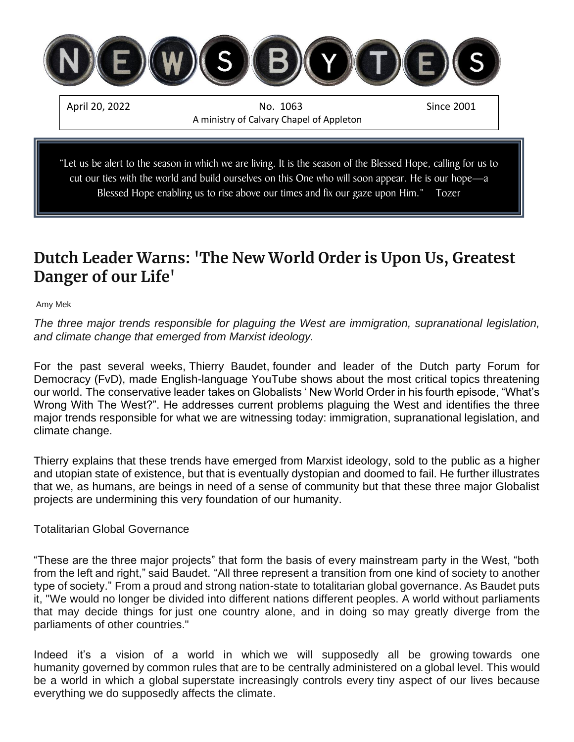

# **Dutch Leader Warns: 'The New World Order is Upon Us, Greatest Danger of our Life'**

[Amy Mek](https://rairfoundation.com/author/amyrairfoundation-com/)

*The three major trends responsible for plaguing the West are immigration, supranational legislation, and climate change that emerged from Marxist ideology.*

For the past several weeks, [Thierry Baudet,](https://rairfoundation.com/thierry-baudet-stuns-parliament-exposes-covid-is-the-vehicle-for-the-globalist-plan-video/) founder and leader of the Dutch party Forum for Democracy (FvD), made English-language YouTube shows about the most critical topics threatening our world. The [conservative leader](https://rairfoundation.com/dutch-leader-stuns-parliament-exposes-globalist-covid-obedience-training-plot-video/) takes on Globalists ' New World Order in his fourth episode, "What's Wrong With The West?". He addresses current problems plaguing the West and identifies the three major trends responsible for what we are witnessing today: immigration, supranational legislation, and climate change.

Thierry explains that these trends have emerged from Marxist ideology, sold to the public as a higher and utopian state of existence, but that is eventually dystopian and doomed to fail. He further illustrates that we, as humans, are beings in need of a sense of community but that these three major Globalist projects are undermining this very foundation of our humanity.

Totalitarian Global Governance

"These are the three major projects" that form the basis of every mainstream party in the West, "both from the left and right," said Baudet. "All three represent a transition from one kind of society to another type of society." From a proud and strong nation-state to totalitarian global governance. As Baudet puts it, "We would no longer be divided into different nations different peoples. A world without parliaments that may decide things for just one country alone, and in doing so may greatly diverge from the parliaments of other countries."

Indeed it's a vision of a world in which we will supposedly all be growing towards one humanity governed by common rules that are to be centrally administered on a global level. This would be a world in which a global superstate increasingly controls every tiny aspect of our lives because everything we do supposedly affects the climate.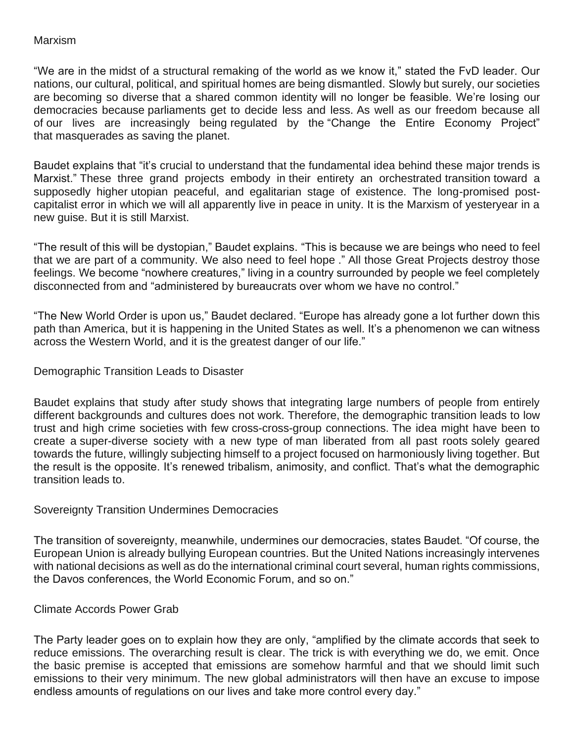#### Marxism

"We are in the midst of a structural remaking of the world as we know it," stated the FvD leader. Our nations, our cultural, political, and spiritual homes are being dismantled. Slowly but surely, our societies are becoming so diverse that a shared common identity will no longer be feasible. We're losing our democracies because parliaments get to decide less and less. As well as our freedom because all of our lives are increasingly being regulated by the "Change the Entire Economy Project" that masquerades as saving the planet.

Baudet explains that "it's crucial to understand that the fundamental idea behind these major trends is Marxist." These three grand projects embody in their entirety an orchestrated transition toward a supposedly higher utopian peaceful, and egalitarian stage of existence. The long-promised postcapitalist error in which we will all apparently live in peace in unity. It is the Marxism of yesteryear in a new guise. But it is still Marxist.

"The result of this will be dystopian," Baudet explains. "This is because we are beings who need to feel that we are part of a community. We also need to feel hope ." All those Great Projects destroy those feelings. We become "nowhere creatures," living in a country surrounded by people we feel completely disconnected from and "administered by bureaucrats over whom we have no control."

"The New World Order is upon us," Baudet declared. "Europe has already gone a lot further down this path than America, but it is happening in the United States as well. It's a phenomenon we can witness across the Western World, and it is the greatest danger of our life."

## Demographic Transition Leads to Disaster

Baudet explains that study after study shows that integrating large numbers of people from entirely different backgrounds and cultures does not work. Therefore, the demographic transition leads to low trust and high crime societies with few cross-cross-group connections. The idea might have been to create a super-diverse society with a new type of man liberated from all past roots solely geared towards the future, willingly subjecting himself to a project focused on harmoniously living together. But the result is the opposite. It's renewed tribalism, animosity, and conflict. That's what the demographic transition leads to.

#### Sovereignty Transition Undermines Democracies

The transition of sovereignty, meanwhile, undermines our democracies, states Baudet. "Of course, the European Union is already bullying European countries. But the United Nations increasingly intervenes with national decisions as well as do the international criminal court several, human rights commissions, the Davos conferences, the World Economic Forum, and so on."

#### Climate Accords Power Grab

The Party leader goes on to explain how they are only, "amplified by the climate accords that seek to reduce emissions. The overarching result is clear. The trick is with everything we do, we emit. Once the basic premise is accepted that emissions are somehow harmful and that we should limit such emissions to their very minimum. The new global administrators will then have an excuse to impose endless amounts of regulations on our lives and take more control every day."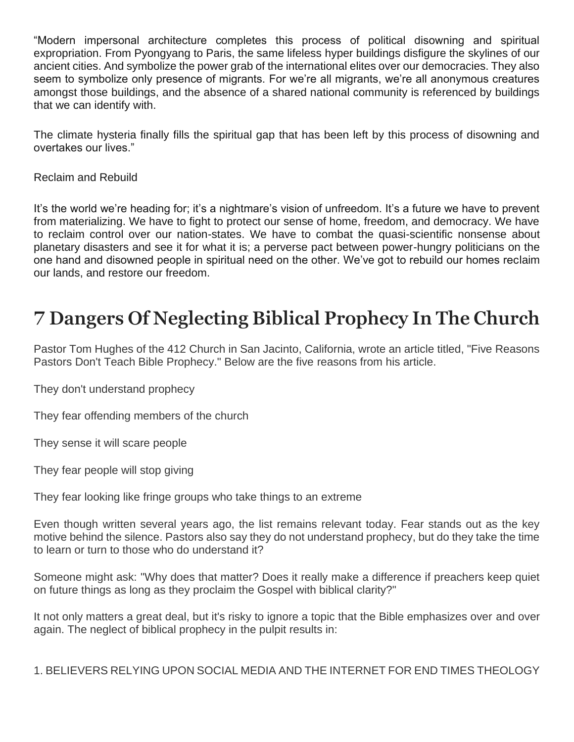"Modern impersonal architecture completes this process of political disowning and spiritual expropriation. From Pyongyang to Paris, the same lifeless hyper buildings disfigure the skylines of our ancient cities. And symbolize the power grab of the international elites over our democracies. They also seem to symbolize only presence of migrants. For we're all migrants, we're all anonymous creatures amongst those buildings, and the absence of a shared national community is referenced by buildings that we can identify with.

The climate hysteria finally fills the spiritual gap that has been left by this process of disowning and overtakes our lives."

Reclaim and Rebuild

It's the world we're heading for; it's a nightmare's vision of unfreedom. It's a future we have to prevent from materializing. We have to fight to protect our sense of home, freedom, and democracy. We have to reclaim control over our nation-states. We have to combat the quasi-scientific nonsense about planetary disasters and see it for what it is; a perverse pact between power-hungry politicians on the one hand and disowned people in spiritual need on the other. We've got to rebuild our homes reclaim our lands, and restore our freedom.

# **7 Dangers Of Neglecting Biblical Prophecy In The Church**

Pastor Tom Hughes of the 412 Church in San Jacinto, California, wrote an article titled, "Five Reasons Pastors Don't Teach Bible Prophecy." Below are the five reasons from his article.

They don't understand prophecy

They fear offending members of the church

They sense it will scare people

They fear people will stop giving

They fear looking like fringe groups who take things to an extreme

Even though written several years ago, the list remains relevant today. Fear stands out as the key motive behind the silence. Pastors also say they do not understand prophecy, but do they take the time to learn or turn to those who do understand it?

Someone might ask: "Why does that matter? Does it really make a difference if preachers keep quiet on future things as long as they proclaim the Gospel with biblical clarity?"

It not only matters a great deal, but it's risky to ignore a topic that the Bible emphasizes over and over again. The neglect of biblical prophecy in the pulpit results in:

1. BELIEVERS RELYING UPON SOCIAL MEDIA AND THE INTERNET FOR END TIMES THEOLOGY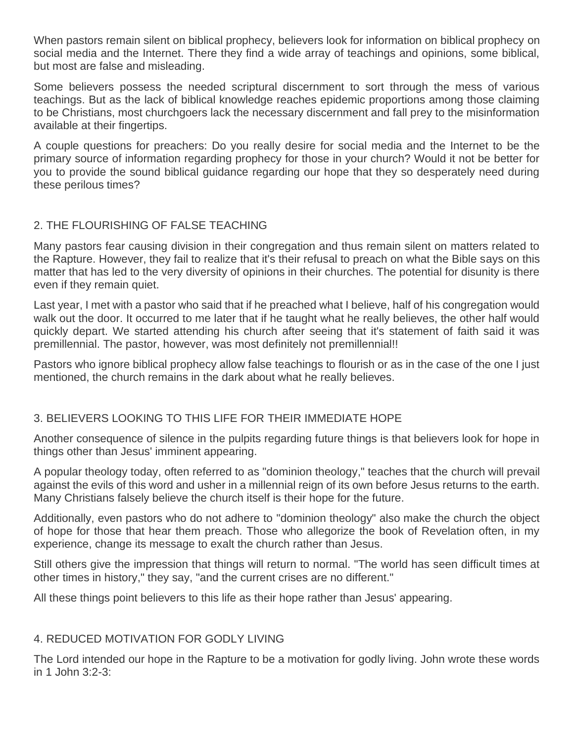When pastors remain silent on biblical prophecy, believers look for information on biblical prophecy on social media and the Internet. There they find a wide array of teachings and opinions, some biblical, but most are false and misleading.

Some believers possess the needed scriptural discernment to sort through the mess of various teachings. But as the lack of biblical knowledge reaches epidemic proportions among those claiming to be Christians, most churchgoers lack the necessary discernment and fall prey to the misinformation available at their fingertips.

A couple questions for preachers: Do you really desire for social media and the Internet to be the primary source of information regarding prophecy for those in your church? Would it not be better for you to provide the sound biblical guidance regarding our hope that they so desperately need during these perilous times?

# 2. THE FLOURISHING OF FALSE TEACHING

Many pastors fear causing division in their congregation and thus remain silent on matters related to the Rapture. However, they fail to realize that it's their refusal to preach on what the Bible says on this matter that has led to the very diversity of opinions in their churches. The potential for disunity is there even if they remain quiet.

Last year, I met with a pastor who said that if he preached what I believe, half of his congregation would walk out the door. It occurred to me later that if he taught what he really believes, the other half would quickly depart. We started attending his church after seeing that it's statement of faith said it was premillennial. The pastor, however, was most definitely not premillennial!!

Pastors who ignore biblical prophecy allow false teachings to flourish or as in the case of the one I just mentioned, the church remains in the dark about what he really believes.

# 3. BELIEVERS LOOKING TO THIS LIFE FOR THEIR IMMEDIATE HOPE

Another consequence of silence in the pulpits regarding future things is that believers look for hope in things other than Jesus' imminent appearing.

A popular theology today, often referred to as "dominion theology," teaches that the church will prevail against the evils of this word and usher in a millennial reign of its own before Jesus returns to the earth. Many Christians falsely believe the church itself is their hope for the future.

Additionally, even pastors who do not adhere to "dominion theology" also make the church the object of hope for those that hear them preach. Those who allegorize the book of Revelation often, in my experience, change its message to exalt the church rather than Jesus.

Still others give the impression that things will return to normal. "The world has seen difficult times at other times in history," they say, "and the current crises are no different."

All these things point believers to this life as their hope rather than Jesus' appearing.

# 4. REDUCED MOTIVATION FOR GODLY LIVING

The Lord intended our hope in the Rapture to be a motivation for godly living. John wrote these words in 1 John 3:2-3: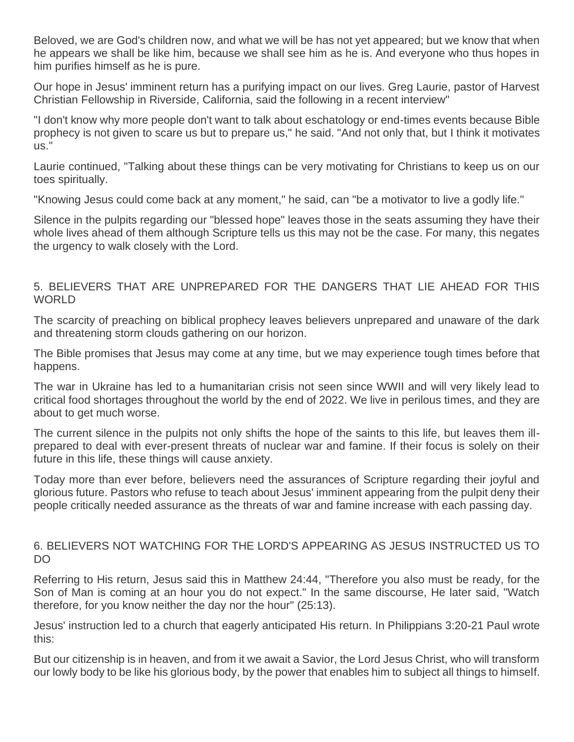Beloved, we are God's children now, and what we will be has not yet appeared; but we know that when he appears we shall be like him, because we shall see him as he is. And everyone who thus hopes in him purifies himself as he is pure.

Our hope in Jesus' imminent return has a purifying impact on our lives. Greg Laurie, pastor of Harvest Christian Fellowship in Riverside, California, said the following in a recent interview"

"I don't know why more people don't want to talk about eschatology or end-times events because Bible prophecy is not given to scare us but to prepare us," he said. "And not only that, but I think it motivates us."

Laurie continued, "Talking about these things can be very motivating for Christians to keep us on our toes spiritually.

"Knowing Jesus could come back at any moment," he said, can "be a motivator to live a godly life."

Silence in the pulpits regarding our "blessed hope" leaves those in the seats assuming they have their whole lives ahead of them although Scripture tells us this may not be the case. For many, this negates the urgency to walk closely with the Lord.

### 5. BELIEVERS THAT ARE UNPREPARED FOR THE DANGERS THAT LIE AHEAD FOR THIS **WORLD**

The scarcity of preaching on biblical prophecy leaves believers unprepared and unaware of the dark and threatening storm clouds gathering on our horizon.

The Bible promises that Jesus may come at any time, but we may experience tough times before that happens.

The war in Ukraine has led to a humanitarian crisis not seen since WWII and will very likely lead to critical food shortages throughout the world by the end of 2022. We live in perilous times, and they are about to get much worse.

The current silence in the pulpits not only shifts the hope of the saints to this life, but leaves them illprepared to deal with ever-present threats of nuclear war and famine. If their focus is solely on their future in this life, these things will cause anxiety.

Today more than ever before, believers need the assurances of Scripture regarding their joyful and glorious future. Pastors who refuse to teach about Jesus' imminent appearing from the pulpit deny their people critically needed assurance as the threats of war and famine increase with each passing day.

### 6. BELIEVERS NOT WATCHING FOR THE LORD'S APPEARING AS JESUS INSTRUCTED US TO DO

Referring to His return, Jesus said this in Matthew 24:44, "Therefore you also must be ready, for the Son of Man is coming at an hour you do not expect." In the same discourse, He later said, "Watch therefore, for you know neither the day nor the hour" (25:13).

Jesus' instruction led to a church that eagerly anticipated His return. In Philippians 3:20-21 Paul wrote this:

But our citizenship is in heaven, and from it we await a Savior, the Lord Jesus Christ, who will transform our lowly body to be like his glorious body, by the power that enables him to subject all things to himself.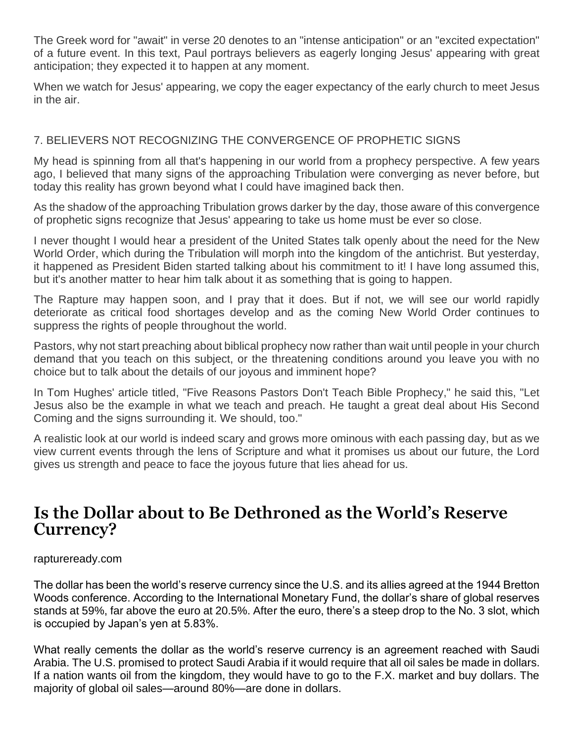The Greek word for "await" in verse 20 denotes to an "intense anticipation" or an "excited expectation" of a future event. In this text, Paul portrays believers as eagerly longing Jesus' appearing with great anticipation; they expected it to happen at any moment.

When we watch for Jesus' appearing, we copy the eager expectancy of the early church to meet Jesus in the air.

# 7. BELIEVERS NOT RECOGNIZING THE CONVERGENCE OF PROPHETIC SIGNS

My head is spinning from all that's happening in our world from a prophecy perspective. A few years ago, I believed that many signs of the approaching Tribulation were converging as never before, but today this reality has grown beyond what I could have imagined back then.

As the shadow of the approaching Tribulation grows darker by the day, those aware of this convergence of prophetic signs recognize that Jesus' appearing to take us home must be ever so close.

I never thought I would hear a president of the United States talk openly about the need for the New World Order, which during the Tribulation will morph into the kingdom of the antichrist. But yesterday, it happened as President Biden started talking about his commitment to it! I have long assumed this, but it's another matter to hear him talk about it as something that is going to happen.

The Rapture may happen soon, and I pray that it does. But if not, we will see our world rapidly deteriorate as critical food shortages develop and as the coming New World Order continues to suppress the rights of people throughout the world.

Pastors, why not start preaching about biblical prophecy now rather than wait until people in your church demand that you teach on this subject, or the threatening conditions around you leave you with no choice but to talk about the details of our joyous and imminent hope?

In Tom Hughes' article titled, "Five Reasons Pastors Don't Teach Bible Prophecy," he said this, "Let Jesus also be the example in what we teach and preach. He taught a great deal about His Second Coming and the signs surrounding it. We should, too."

A realistic look at our world is indeed scary and grows more ominous with each passing day, but as we view current events through the lens of Scripture and what it promises us about our future, the Lord gives us strength and peace to face the joyous future that lies ahead for us.

# **Is the Dollar about to Be Dethroned as the World's Reserve Currency?**

#### raptureready.com

The dollar has been the world's reserve currency since the U.S. and its allies agreed at the 1944 Bretton Woods conference. According to the International Monetary Fund, the dollar's share of global reserves stands at 59%, far above the euro at 20.5%. After the euro, there's a steep drop to the No. 3 slot, which is occupied by Japan's yen at 5.83%.

What really cements the dollar as the world's reserve currency is an agreement reached with Saudi Arabia. The U.S. promised to protect Saudi Arabia if it would require that all oil sales be made in dollars. If a nation wants oil from the kingdom, they would have to go to the F.X. market and buy dollars. The majority of global oil sales—around 80%—are done in dollars.